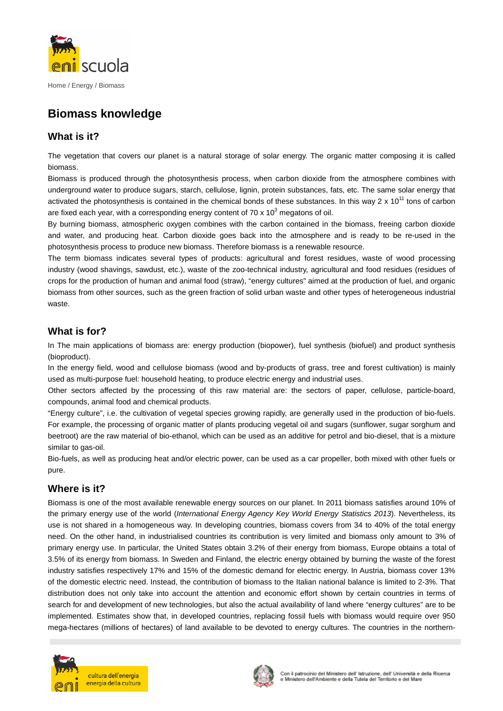

# **Biomass knowledge**

# **What is it?**

The vegetation that covers our planet is a natural storage of solar energy. The organic matter composing it is called biomass.

Biomass is produced through the photosynthesis process, when carbon dioxide from the atmosphere combines with underground water to produce sugars, starch, cellulose, lignin, protein substances, fats, etc. The same solar energy that activated the photosynthesis is contained in the chemical bonds of these substances. In this way 2 x 10<sup>11</sup> tons of carbon are fixed each year, with a corresponding energy content of 70 x 10<sup>3</sup> megatons of oil.

By burning biomass, atmospheric oxygen combines with the carbon contained in the biomass, freeing carbon dioxide and water, and producing heat. Carbon dioxide goes back into the atmosphere and is ready to be re-used in the photosynthesis process to produce new biomass. Therefore biomass is a renewable resource.

The term biomass indicates several types of products: agricultural and forest residues, waste of wood processing industry (wood shavings, sawdust, etc.), waste of the zoo-technical industry, agricultural and food residues (residues of crops for the production of human and animal food (straw), "energy cultures" aimed at the production of fuel, and organic biomass from other sources, such as the green fraction of solid urban waste and other types of heterogeneous industrial waste.

## **What is for?**

In The main applications of biomass are: energy production (biopower), fuel synthesis (biofuel) and product synthesis (bioproduct).

In the energy field, wood and cellulose biomass (wood and by-products of grass, tree and forest cultivation) is mainly used as multi-purpose fuel: household heating, to produce electric energy and industrial uses.

Other sectors affected by the processing of this raw material are: the sectors of paper, cellulose, particle-board, compounds, animal food and chemical products.

"Energy culture", i.e. the cultivation of vegetal species growing rapidly, are generally used in the production of bio-fuels. For example, the processing of organic matter of plants producing vegetal oil and sugars (sunflower, sugar sorghum and beetroot) are the raw material of bio-ethanol, which can be used as an additive for petrol and bio-diesel, that is a mixture similar to gas-oil.

Bio-fuels, as well as producing heat and/or electric power, can be used as a car propeller, both mixed with other fuels or pure.

## **Where is it?**

Biomass is one of the most available renewable energy sources on our planet. In 2011 biomass satisfies around 10% of the primary energy use of the world (International Energy Agency Key World Energy Statistics 2013). Nevertheless, its use is not shared in a homogeneous way. In developing countries, biomass covers from 34 to 40% of the total energy need. On the other hand, in industrialised countries its contribution is very limited and biomass only amount to 3% of primary energy use. In particular, the United States obtain 3.2% of their energy from biomass, Europe obtains a total of 3.5% of its energy from biomass. In Sweden and Finland, the electric energy obtained by burning the waste of the forest industry satisfies respectively 17% and 15% of the domestic demand for electric energy. In Austria, biomass cover 13% of the domestic electric need. Instead, the contribution of biomass to the Italian national balance is limited to 2-3%. That distribution does not only take into account the attention and economic effort shown by certain countries in terms of search for and development of new technologies, but also the actual availability of land where "energy cultures" are to be implemented. Estimates show that, in developed countries, replacing fossil fuels with biomass would require over 950 mega-hectares (millions of hectares) of land available to be devoted to energy cultures. The countries in the northern-



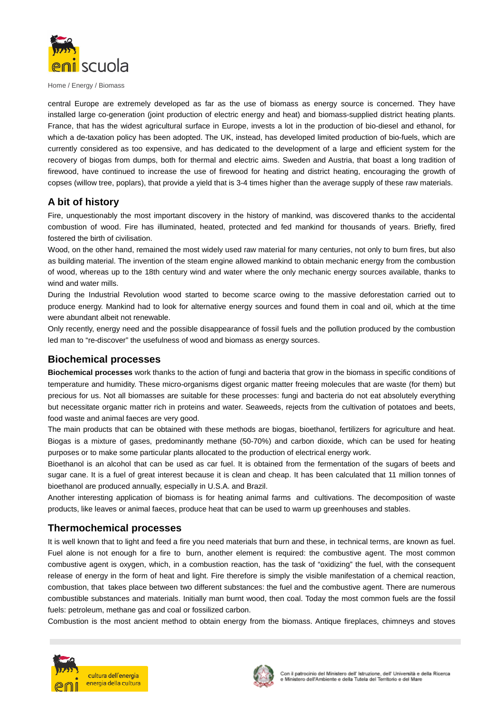

Home / Energy / Biomass

central Europe are extremely developed as far as the use of biomass as energy source is concerned. They have installed large co-generation (joint production of electric energy and heat) and biomass-supplied district heating plants. France, that has the widest agricultural surface in Europe, invests a lot in the production of bio-diesel and ethanol, for which a de-taxation policy has been adopted. The UK, instead, has developed limited production of bio-fuels, which are currently considered as too expensive, and has dedicated to the development of a large and efficient system for the recovery of biogas from dumps, both for thermal and electric aims. Sweden and Austria, that boast a long tradition of firewood, have continued to increase the use of firewood for heating and district heating, encouraging the growth of copses (willow tree, poplars), that provide a yield that is 3-4 times higher than the average supply of these raw materials.

#### **A bit of history**

Fire, unquestionably the most important discovery in the history of mankind, was discovered thanks to the accidental combustion of wood. Fire has illuminated, heated, protected and fed mankind for thousands of years. Briefly, fired fostered the birth of civilisation.

Wood, on the other hand, remained the most widely used raw material for many centuries, not only to burn fires, but also as building material. The invention of the steam engine allowed mankind to obtain mechanic energy from the combustion of wood, whereas up to the 18th century wind and water where the only mechanic energy sources available, thanks to wind and water mills.

During the Industrial Revolution wood started to become scarce owing to the massive deforestation carried out to produce energy. Mankind had to look for alternative energy sources and found them in coal and oil, which at the time were abundant albeit not renewable.

Only recently, energy need and the possible disappearance of fossil fuels and the pollution produced by the combustion led man to "re-discover" the usefulness of wood and biomass as energy sources.

#### **Biochemical processes**

**Biochemical processes** work thanks to the action of fungi and bacteria that grow in the biomass in specific conditions of temperature and humidity. These micro-organisms digest organic matter freeing molecules that are waste (for them) but precious for us. Not all biomasses are suitable for these processes: fungi and bacteria do not eat absolutely everything but necessitate organic matter rich in proteins and water. Seaweeds, rejects from the cultivation of potatoes and beets, food waste and animal faeces are very good.

The main products that can be obtained with these methods are biogas, bioethanol, fertilizers for agriculture and heat. Biogas is a mixture of gases, predominantly methane (50-70%) and carbon dioxide, which can be used for heating purposes or to make some particular plants allocated to the production of electrical energy work.

Bioethanol is an alcohol that can be used as car fuel. It is obtained from the fermentation of the sugars of beets and sugar cane. It is a fuel of great interest because it is clean and cheap. It has been calculated that 11 million tonnes of bioethanol are produced annually, especially in U.S.A. and Brazil.

Another interesting application of biomass is for heating animal farms and cultivations. The decomposition of waste products, like leaves or animal faeces, produce heat that can be used to warm up greenhouses and stables.

#### **Thermochemical processes**

It is well known that to light and feed a fire you need materials that burn and these, in technical terms, are known as fuel. Fuel alone is not enough for a fire to burn, another element is required: the combustive agent. The most common combustive agent is oxygen, which, in a combustion reaction, has the task of "oxidizing" the fuel, with the consequent release of energy in the form of heat and light. Fire therefore is simply the visible manifestation of a chemical reaction, combustion, that takes place between two different substances: the fuel and the combustive agent. There are numerous combustible substances and materials. Initially man burnt wood, then coal. Today the most common fuels are the fossil fuels: petroleum, methane gas and coal or fossilized carbon.

Combustion is the most ancient method to obtain energy from the biomass. Antique fireplaces, chimneys and stoves